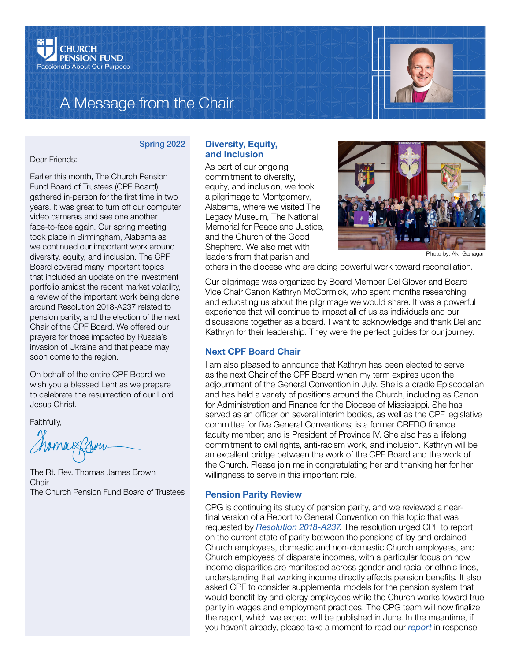

# A Message from the Chair



### Spring 2022

Dear Friends:

Earlier this month, The Church Pension Fund Board of Trustees (CPF Board) gathered in-person for the first time in two years. It was great to turn off our computer video cameras and see one another face-to-face again. Our spring meeting took place in Birmingham, Alabama as we continued our important work around diversity, equity, and inclusion. The CPF Board covered many important topics that included an update on the investment portfolio amidst the recent market volatility, a review of the important work being done around Resolution 2018-A237 related to pension parity, and the election of the next Chair of the CPF Board. We offered our prayers for those impacted by Russia's invasion of Ukraine and that peace may soon come to the region.

On behalf of the entire CPF Board we wish you a blessed Lent as we prepare to celebrate the resurrection of our Lord Jesus Christ.

Faithfully,

The Rt. Rev. Thomas James Brown **Chair** The Church Pension Fund Board of Trustees

### Diversity, Equity, and Inclusion

As part of our ongoing commitment to diversity, equity, and inclusion, we took a pilgrimage to Montgomery, Alabama, where we visited The Legacy Museum, The National Memorial for Peace and Justice, and the Church of the Good Shepherd. We also met with leaders from that parish and



Photo by: Akii Gahagan

others in the diocese who are doing powerful work toward reconciliation.

Our pilgrimage was organized by Board Member Del Glover and Board Vice Chair Canon Kathryn McCormick, who spent months researching and educating us about the pilgrimage we would share. It was a powerful experience that will continue to impact all of us as individuals and our discussions together as a board. I want to acknowledge and thank Del and Kathryn for their leadership. They were the perfect guides for our journey.

## Next CPF Board Chair

I am also pleased to announce that Kathryn has been elected to serve as the next Chair of the CPF Board when my term expires upon the adjournment of the General Convention in July. She is a cradle Episcopalian and has held a variety of positions around the Church, including as Canon for Administration and Finance for the Diocese of Mississippi. She has served as an officer on several interim bodies, as well as the CPF legislative committee for five General Conventions; is a former CREDO finance faculty member; and is President of Province IV. She also has a lifelong commitment to civil rights, anti-racism work, and inclusion. Kathryn will be an excellent bridge between the work of the CPF Board and the work of the Church. Please join me in congratulating her and thanking her for her willingness to serve in this important role.

#### Pension Parity Review

CPG is continuing its study of pension parity, and we reviewed a nearfinal version of a Report to General Convention on this topic that was requested by *[Resolution 2018-A237](https://www.episcopalarchives.org/cgi-bin/acts/acts_resolution-complete.pl?resolution=2018-A237)*. The resolution urged CPF to report on the current state of parity between the pensions of lay and ordained Church employees, domestic and non-domestic Church employees, and Church employees of disparate incomes, with a particular focus on how income disparities are manifested across gender and racial or ethnic lines, understanding that working income directly affects pension benefits. It also asked CPF to consider supplemental models for the pension system that would benefit lay and clergy employees while the Church works toward true parity in wages and employment practices. The CPG team will now finalize the report, which we expect will be published in June. In the meantime, if you haven't already, please take a moment to read our *[report](https://www.cpg.org/globalassets/documents/publications/resolution-d045-report-from-cpg.pdf)* in response